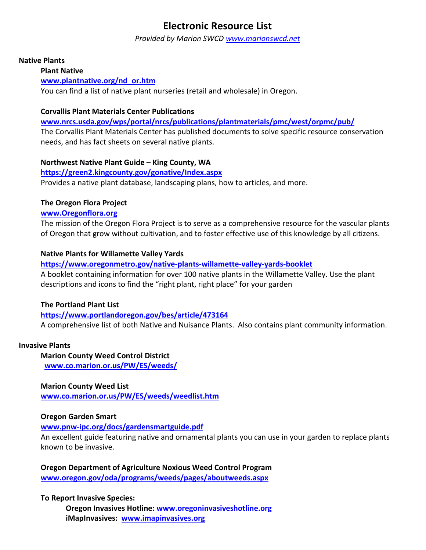# **Electronic Resource List**

*Provided by Marion SWCD [www.marionswcd.net](http://www.marionswcd.net/)*

## **Native Plants**

**Plant Native** 

## **[www.plantnative.org/nd\\_or.htm](http://www.plantnative.org/nd_or.htm)**

You can find a list of native plant nurseries (retail and wholesale) in Oregon.

# **Corvallis Plant Materials Center Publications**

**[www.nrcs.usda.gov/wps/portal/nrcs/publications/plantmaterials/pmc/west/orpmc/pub/](http://www.nrcs.usda.gov/wps/portal/nrcs/publications/plantmaterials/pmc/west/orpmc/pub/)** The Corvallis Plant Materials Center has published documents to solve specific resource conservation needs, and has fact sheets on several native plants.

# **Northwest Native Plant Guide – King County, WA**

#### **<https://green2.kingcounty.gov/gonative/Index.aspx>**

Provides a native plant database, landscaping plans, how to articles, and more.

### **The Oregon Flora Project**

### **[www.Oregonflora.org](http://www.oregonflora.org/)**

The mission of the Oregon Flora Project is to serve as a comprehensive resource for the vascular plants of Oregon that grow without cultivation, and to foster effective use of this knowledge by all citizens.

# **Native Plants for Willamette Valley Yards**

**<https://www.oregonmetro.gov/native-plants-willamette-valley-yards-booklet>**

A booklet containing information for over 100 native plants in the Willamette Valley. Use the plant descriptions and icons to find the "right plant, right place" for your garden

# **The Portland Plant List**

# **<https://www.portlandoregon.gov/bes/article/473164>**

A comprehensive list of both Native and Nuisance Plants. Also contains plant community information.

#### **Invasive Plants**

**Marion County Weed Control District [www.co.marion.or.us/PW/ES/weeds/](http://www.co.marion.or.us/PW/ES/weeds/)**

#### **Marion County Weed List**

**www.co.marion.or.us/PW/ES/weeds/weedlist.htm**

#### **Oregon Garden Smart**

# **[www.pnw-ipc.org/docs/gardensmartguide.pdf](http://www.pnw-ipc.org/docs/gardensmartguide.pdf)**

An excellent guide featuring native and ornamental plants you can use in your garden to replace plants known to be invasive.

**Oregon Department of Agriculture Noxious Weed Control Program [www.oregon.gov/oda/programs/weeds/pages/aboutweeds.aspx](http://www.oregon.gov/oda/programs/weeds/pages/aboutweeds.aspx)**

# **To Report Invasive Species:**

**Oregon Invasives Hotline: [www.oregoninvasiveshotline.org](http://www.oregoninvasiveshotline.org/) iMapInvasives: [www.imapinvasives.org](http://www.imapinvasives.org/)**